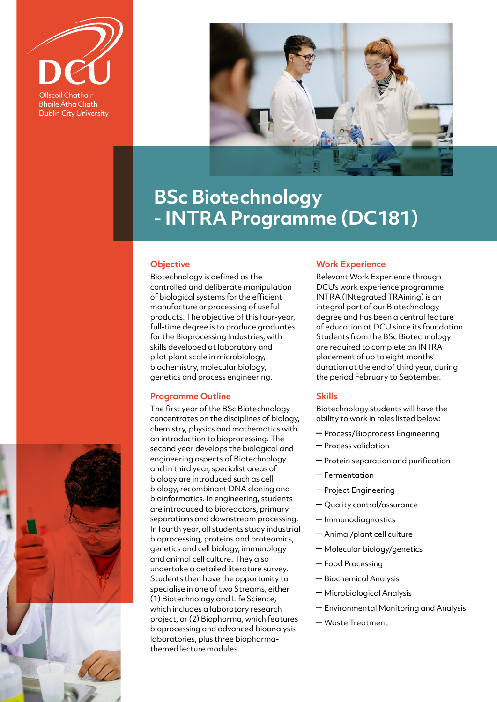

**Bhaile Átha Cliath Dublin City University** 



# **BSc Biotechnology - INTRA Programme (DC181)**

## **Objective**

Biotechnology is defined as the controlled and deliberate manipulation of biological systems for the efficient manufacture or processing of useful products. The objective of this four-year, full-time degree is to produce graduates for the Bioprocessing Industries, with skills developed at laboratory and pilot plant scale in microbiology, biochemistry, molecular biology, genetics and process engineering.

## **Programme Outline**

The first year of the BSc Biotechnology concentrates on the disciplines of biology, chemistry, physics and mathematics with an introduction to bioprocessing. The second year develops the biological and engineering aspects of Biotechnology and in third year, specialist areas of biology are introduced such as cell biology, recombinant DNA cloning and bioinformatics. In engineering, students are introduced to bioreactors, primary separations and downstream processing. In fourth year, all students study industrial bioprocessing, proteins and proteomics, genetics and cell biology, immunology and animal cell culture. They also undertake a detailed literature survey. Students then have the opportunity to specialise in one of two Streams, either (1) Biotechnology and Life Science, which includes a laboratory research project, or (2) Biopharma, which features bioprocessing and advanced bioanalysis laboratories, plus three biopharmathemed lecture modules.

#### **Work Experience**

Relevant Work Experience through DCU's work experience programme INTRA (INtegrated TRAining) is an integral part of our Biotechnology degree and has been a central feature of education at DCU since its foundation. Students from the BSc Biotechnology are required to complete an INTRA placement of up to eight months' duration at the end of third year, during the period February to September.

## **Skills**

Biotechnology students will have the ability to work in roles listed below:

- Process/Bioprocess Engineering
- Process validation
- Protein separation and purification
- Fermentation
- Project Engineering
- Quality control/assurance
- Immunodiagnostics
- Animal/plant cell culture
- Molecular biology/genetics
- Food Processing
- Biochemical Analysis
- Microbiological Analysis
- Environmental Monitoring and Analysis
- Waste Treatment